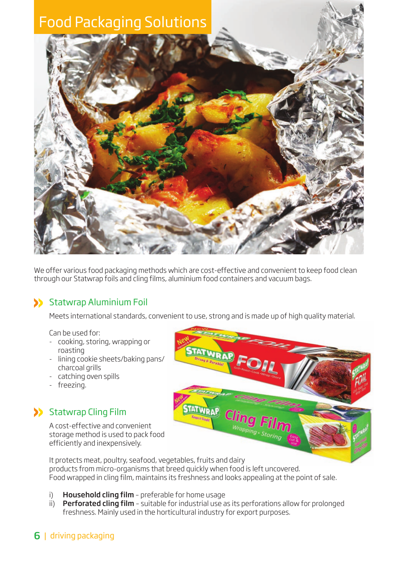

We offer various food packaging methods which are cost-effective and convenient to keep food clean through our Statwrap foils and cling films, aluminium food containers and vacuum bags.

## Statwrap Aluminium Foil

Meets international standards, convenient to use, strong and is made up of high quality material.

Can be used for:

- cooking, storing, wrapping or roasting
- lining cookie sheets/baking pans/ charcoal grills
- catching oven spills
- freezing.

# Statwrap Cling Film

A cost-effective and convenient storage method is used to pack food efficiently and inexpensively.

TATWRAP Cling

It protects meat, poultry, seafood, vegetables, fruits and dairy products from micro-organisms that breed quickly when food is left uncovered. Food wrapped in cling film, maintains its freshness and looks appealing at the point of sale.

- i) Household cling film preferable for home usage
- ii) Perforated cling film suitable for industrial use as its perforations allow for prolonged freshness. Mainly used in the horticultural industry for export purposes.